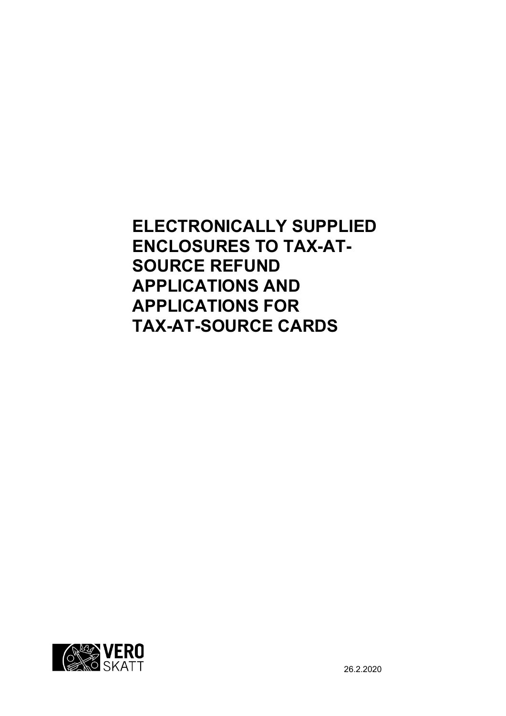**ELECTRONICALLY SUPPLIED ENCLOSURES TO TAX-AT-SOURCE REFUND APPLICATIONS AND APPLICATIONS FOR TAX-AT-SOURCE CARDS**

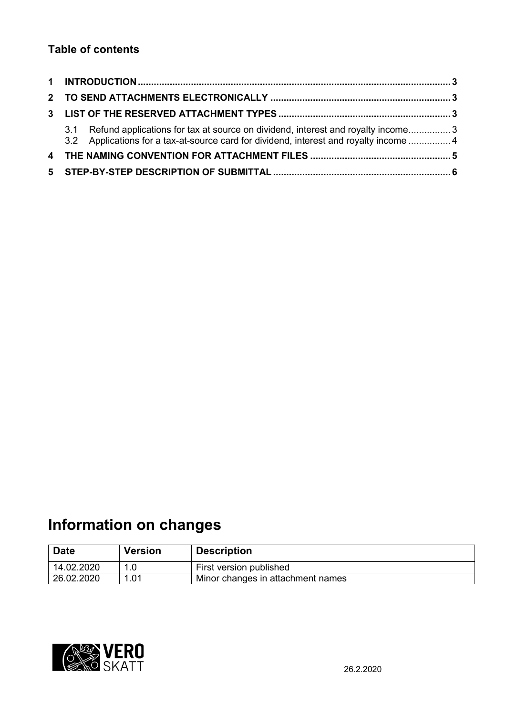## **Table of contents**

| 3.1 Refund applications for tax at source on dividend, interest and royalty income3<br>3.2 Applications for a tax-at-source card for dividend, interest and royalty income  4 |  |  |
|-------------------------------------------------------------------------------------------------------------------------------------------------------------------------------|--|--|
|                                                                                                                                                                               |  |  |
|                                                                                                                                                                               |  |  |

# **Information on changes**

| <b>Date</b> | <b>Version</b> | <b>Description</b>                |
|-------------|----------------|-----------------------------------|
| 14.02.2020  | 1.0            | First version published           |
| 26.02.2020  | 1.01           | Minor changes in attachment names |

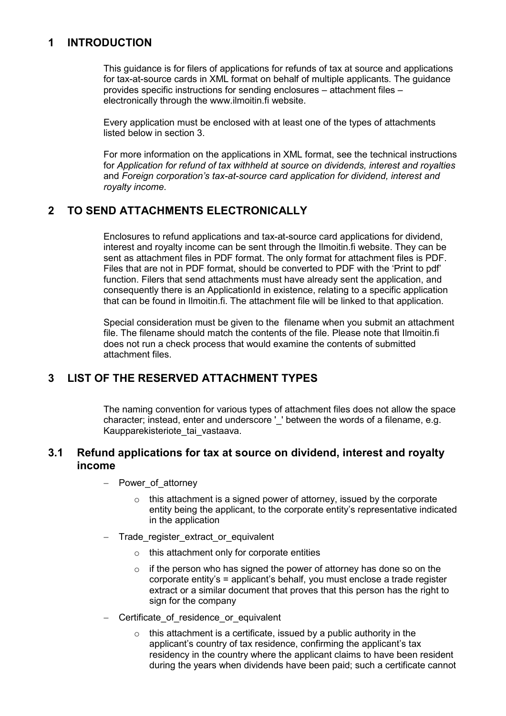## <span id="page-2-0"></span>**1 INTRODUCTION**

This guidance is for filers of applications for refunds of tax at source and applications for tax-at-source cards in XML format on behalf of multiple applicants. The guidance provides specific instructions for sending enclosures – attachment files – electronically through the www.ilmoitin.fi website.

Every application must be enclosed with at least one of the types of attachments listed below in section 3.

For more information on the applications in XML format, see the technical instructions for *Application for refund of tax withheld at source on dividends, interest and royalties* and *Foreign corporation's tax-at-source card application for dividend, interest and royalty income*.

## <span id="page-2-1"></span>**2 TO SEND ATTACHMENTS ELECTRONICALLY**

Enclosures to refund applications and tax-at-source card applications for dividend, interest and royalty income can be sent through the Ilmoitin.fi website. They can be sent as attachment files in PDF format. The only format for attachment files is PDF. Files that are not in PDF format, should be converted to PDF with the 'Print to pdf' function. Filers that send attachments must have already sent the application, and consequently there is an ApplicationId in existence, relating to a specific application that can be found in Ilmoitin.fi. The attachment file will be linked to that application.

Special consideration must be given to the filename when you submit an attachment file. The filename should match the contents of the file. Please note that Ilmoitin.fi does not run a check process that would examine the contents of submitted attachment files.

## <span id="page-2-2"></span>**3 LIST OF THE RESERVED ATTACHMENT TYPES**

The naming convention for various types of attachment files does not allow the space character; instead, enter and underscore ' ' between the words of a filename, e.g. Kaupparekisteriote tai vastaava.

#### <span id="page-2-3"></span>**3.1 Refund applications for tax at source on dividend, interest and royalty income**

- Power of attorney
	- $\circ$  this attachment is a signed power of attorney, issued by the corporate entity being the applicant, to the corporate entity's representative indicated in the application
- Trade\_register\_extract\_or\_equivalent
	- o this attachment only for corporate entities
	- $\circ$  if the person who has signed the power of attorney has done so on the corporate entity's = applicant's behalf, you must enclose a trade register extract or a similar document that proves that this person has the right to sign for the company
- Certificate of residence or equivalent
	- $\circ$  this attachment is a certificate, issued by a public authority in the applicant's country of tax residence, confirming the applicant's tax residency in the country where the applicant claims to have been resident during the years when dividends have been paid; such a certificate cannot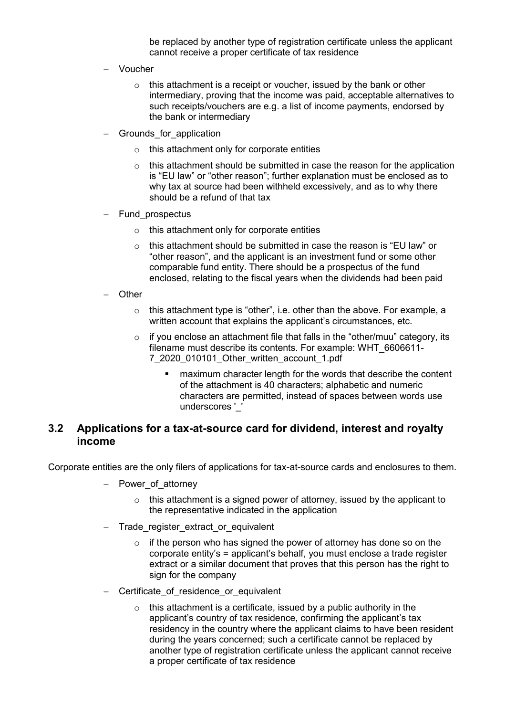be replaced by another type of registration certificate unless the applicant cannot receive a proper certificate of tax residence

- Voucher
	- $\circ$  this attachment is a receipt or voucher, issued by the bank or other intermediary, proving that the income was paid, acceptable alternatives to such receipts/vouchers are e.g. a list of income payments, endorsed by the bank or intermediary
- Grounds for application
	- o this attachment only for corporate entities
	- $\circ$  this attachment should be submitted in case the reason for the application is "EU law" or "other reason"; further explanation must be enclosed as to why tax at source had been withheld excessively, and as to why there should be a refund of that tax
- Fund prospectus
	- o this attachment only for corporate entities
	- $\circ$  this attachment should be submitted in case the reason is "EU law" or "other reason", and the applicant is an investment fund or some other comparable fund entity. There should be a prospectus of the fund enclosed, relating to the fiscal years when the dividends had been paid
- Other
	- o this attachment type is "other", i.e. other than the above. For example, a written account that explains the applicant's circumstances, etc.
	- $\circ$  if you enclose an attachment file that falls in the "other/muu" category, its filename must describe its contents. For example: WHT\_6606611- 7\_2020\_010101\_Other\_written\_account\_1.pdf
		- maximum character length for the words that describe the content of the attachment is 40 characters; alphabetic and numeric characters are permitted, instead of spaces between words use underscores ' '

#### <span id="page-3-0"></span>**3.2 Applications for a tax-at-source card for dividend, interest and royalty income**

Corporate entities are the only filers of applications for tax-at-source cards and enclosures to them.

- Power of attorney
	- $\circ$  this attachment is a signed power of attorney, issued by the applicant to the representative indicated in the application
- Trade register extract or equivalent
	- $\circ$  if the person who has signed the power of attorney has done so on the corporate entity's = applicant's behalf, you must enclose a trade register extract or a similar document that proves that this person has the right to sign for the company
- Certificate of residence or equivalent
	- $\circ$  this attachment is a certificate, issued by a public authority in the applicant's country of tax residence, confirming the applicant's tax residency in the country where the applicant claims to have been resident during the years concerned; such a certificate cannot be replaced by another type of registration certificate unless the applicant cannot receive a proper certificate of tax residence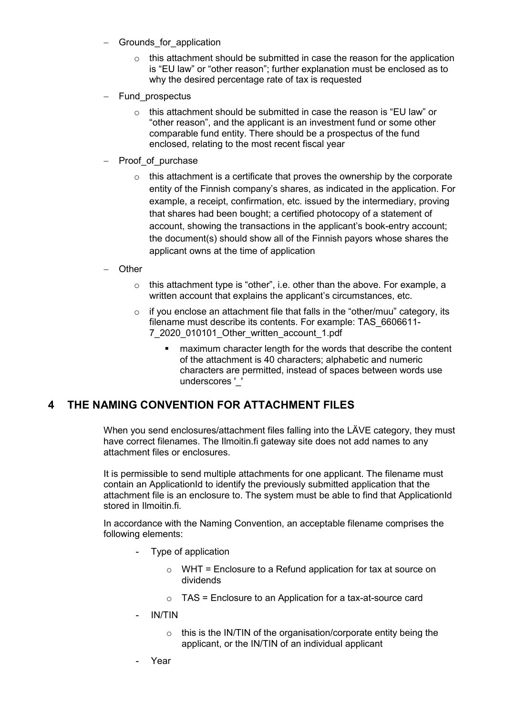- Grounds for application
	- $\circ$  this attachment should be submitted in case the reason for the application is "EU law" or "other reason"; further explanation must be enclosed as to why the desired percentage rate of tax is requested
- Fund\_prospectus
	- $\circ$  this attachment should be submitted in case the reason is "EU law" or "other reason", and the applicant is an investment fund or some other comparable fund entity. There should be a prospectus of the fund enclosed, relating to the most recent fiscal year
- Proof of purchase
	- $\circ$  this attachment is a certificate that proves the ownership by the corporate entity of the Finnish company's shares, as indicated in the application. For example, a receipt, confirmation, etc. issued by the intermediary, proving that shares had been bought; a certified photocopy of a statement of account, showing the transactions in the applicant's book-entry account; the document(s) should show all of the Finnish payors whose shares the applicant owns at the time of application
- **Other** 
	- $\circ$  this attachment type is "other", i.e. other than the above. For example, a written account that explains the applicant's circumstances, etc.
	- $\circ$  if you enclose an attachment file that falls in the "other/muu" category, its filename must describe its contents. For example: TAS\_6606611- 7\_2020\_010101\_Other\_written\_account\_1.pdf
		- **EXED** maximum character length for the words that describe the content of the attachment is 40 characters; alphabetic and numeric characters are permitted, instead of spaces between words use underscores ' '

#### <span id="page-4-0"></span>**4 THE NAMING CONVENTION FOR ATTACHMENT FILES**

When you send enclosures/attachment files falling into the LÄVE category, they must have correct filenames. The Ilmoitin.fi gateway site does not add names to any attachment files or enclosures.

It is permissible to send multiple attachments for one applicant. The filename must contain an ApplicationId to identify the previously submitted application that the attachment file is an enclosure to. The system must be able to find that ApplicationId stored in Ilmoitin.fi.

In accordance with the Naming Convention, an acceptable filename comprises the following elements:

- Type of application
	- $\circ$  WHT = Enclosure to a Refund application for tax at source on dividends
	- $\circ$  TAS = Enclosure to an Application for a tax-at-source card
- IN/TIN
	- $\circ$  this is the IN/TIN of the organisation/corporate entity being the applicant, or the IN/TIN of an individual applicant
- Year